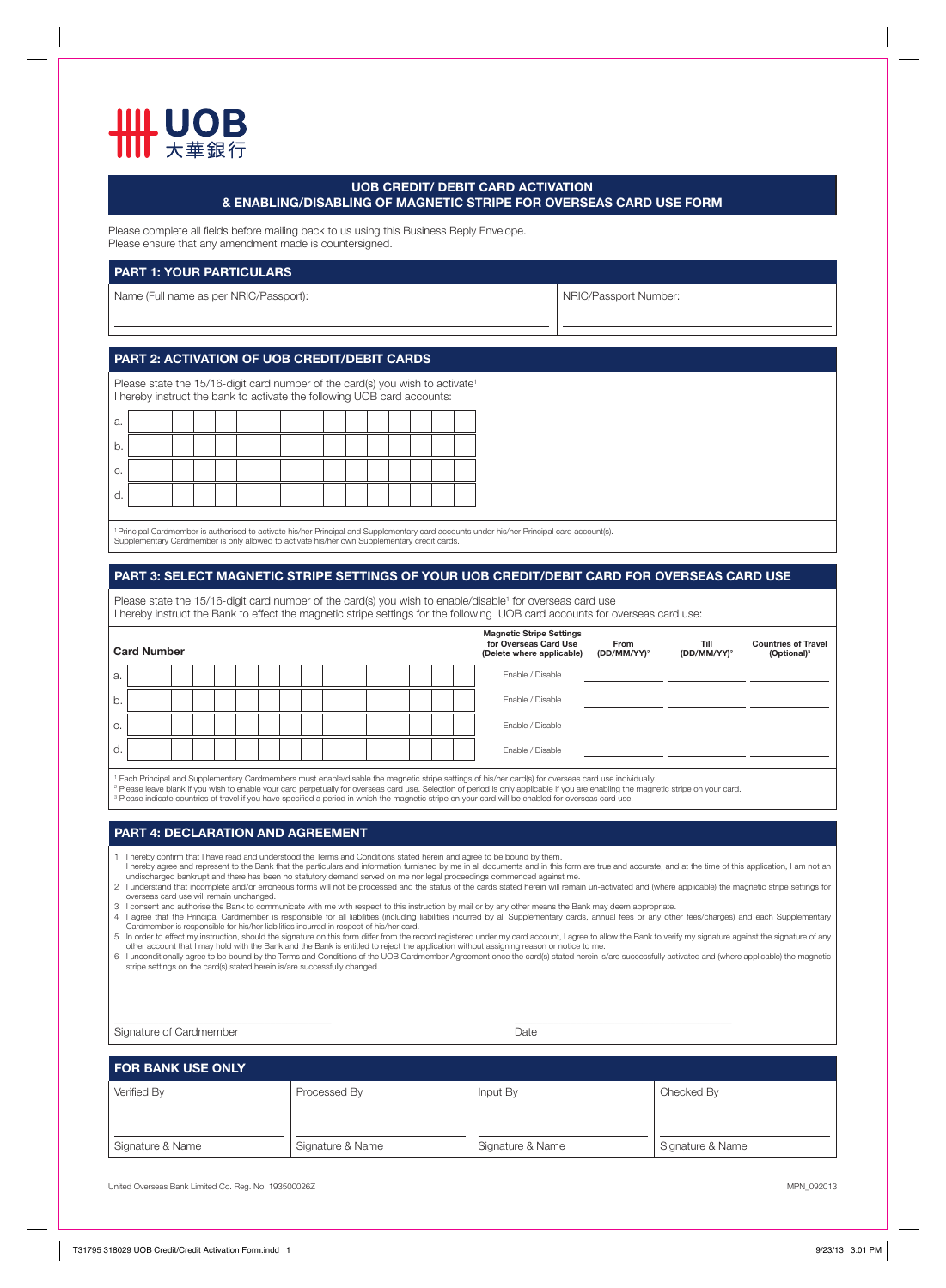

### **UOB CREDIT/ DEBIT CARD ACTIVATION & ENABLING/DISABLING OF MAGNETIC STRIPE FOR OVERSEAS CARD USE FORM**

Please complete all fields before mailing back to us using this Business Reply Envelope. Please ensure that any amendment made is countersigned.

#### **PART 1: YOUR PARTICULARS**

Name (Full name as per NRIC/Passport): Name (Full name as per NRIC/Passport Number:

# **PART 2: ACTIVATION OF UOB CREDIT/DEBIT CARDS**

Please state the 15/16-digit card number of the card(s) you wish to activate<sup>1</sup> I hereby instruct the bank to activate the following UOB card accounts:

| a. |  |  |  |  |  |  |  |  |
|----|--|--|--|--|--|--|--|--|
| b. |  |  |  |  |  |  |  |  |
| С. |  |  |  |  |  |  |  |  |
| a. |  |  |  |  |  |  |  |  |

' Principal Cardmember is authorised to activate his/her Principal and Supplementary card accounts under his/her Principal card account(s).<br>Supplementary Cardmember is only allowed to activate his/her own Supplementary cre

## **PART 3: SELECT MAGNETIC STRIPE SETTINGS OF YOUR UOB CREDIT/DEBIT CARD FOR OVERSEAS CARD USE**

Please state the 15/16-digit card number of the card(s) you wish to enable/disable<sup>1</sup> for overseas card use I hereby instruct the Bank to effect the magnetic stripe settings for the following UOB card accounts for overseas card use:

| <b>Card Number</b> |                                                                                                                                                                   |  |  |  |  |  |  |  |  |  |  |  | <b>Magnetic Stripe Settings</b><br>for Overseas Card Use<br>(Delete where applicable) | From<br>$(DD/MM/YY)^2$ | Till<br>$(DD/MM/YY)^2$ | <b>Countries of Travel</b><br>(Optional) <sup>3</sup> |  |  |
|--------------------|-------------------------------------------------------------------------------------------------------------------------------------------------------------------|--|--|--|--|--|--|--|--|--|--|--|---------------------------------------------------------------------------------------|------------------------|------------------------|-------------------------------------------------------|--|--|
| a.                 |                                                                                                                                                                   |  |  |  |  |  |  |  |  |  |  |  |                                                                                       |                        | Enable / Disable       |                                                       |  |  |
| $b$ .              |                                                                                                                                                                   |  |  |  |  |  |  |  |  |  |  |  |                                                                                       |                        | Enable / Disable       |                                                       |  |  |
| C.                 |                                                                                                                                                                   |  |  |  |  |  |  |  |  |  |  |  |                                                                                       |                        | Enable / Disable       |                                                       |  |  |
| d.                 |                                                                                                                                                                   |  |  |  |  |  |  |  |  |  |  |  |                                                                                       |                        | Enable / Disable       |                                                       |  |  |
|                    | <sup>1</sup> Fach Principal and Supplementary Cardmembers must enable/disable the magnetic stripe settings of his/her card(s) for overseas card use individually. |  |  |  |  |  |  |  |  |  |  |  |                                                                                       |                        |                        |                                                       |  |  |

' Each Principal and Supplementary Cardmembers must enable/disable the magnetic stripe settings of his/her card(s) for overseas card use individually.<br><sup>2</sup> Please leave blank if you wish to enable your card propetually for

#### **PART 4: DECLARATION AND AGREEMENT**

1 hereby confirm that I have read and understood the Terms and Conditions stated herein and agree to be bound by them.

l hereby agree and represent to the Bank that the particulars and information furnished by me in all documents and in this form are true and accurate, and at the time of this application, I am not an<br>undischarged bankrupt

2 I understand that incomplete and/or erroneous forms will not be processed and the status of the cards stated herein will remain un-activated and (where applicable) the magnetic stripe settings for<br>overseas card use will 4 I agree that the Principal Cardmember is responsible for all liabilities (including liabilities incurred by all Supplementary cards, annual fees or any other fees/charges) and each Supplementary<br>- Cardmember is responsib

other account that I may hold with the Bank and the Bank is entitled to reject the application without assigning reason or notice to me.<br>6 I unconditionally agree to be bound by the Terms and Conditions of the UOB Cardmemb

stripe settings on the card(s) stated herein is/are successfully changed.

\_\_\_\_\_\_\_\_\_\_\_\_\_\_\_\_\_\_\_\_\_\_\_\_\_\_\_\_\_\_\_\_\_\_\_\_\_\_\_ \_\_\_\_\_\_\_\_\_\_\_\_\_\_\_\_\_\_\_\_\_\_\_\_\_\_\_\_\_\_\_\_\_\_\_\_\_\_\_ Signature of Cardmember **Date** 

# **FOR BANK USE ONLY**

| Verified By      | Processed By     | Input By         | Checked By       |  |  |
|------------------|------------------|------------------|------------------|--|--|
|                  |                  |                  |                  |  |  |
| Signature & Name | Signature & Name | Signature & Name | Signature & Name |  |  |

United Overseas Bank Limited Co. Reg. No. 193500026Z MPN\_092013